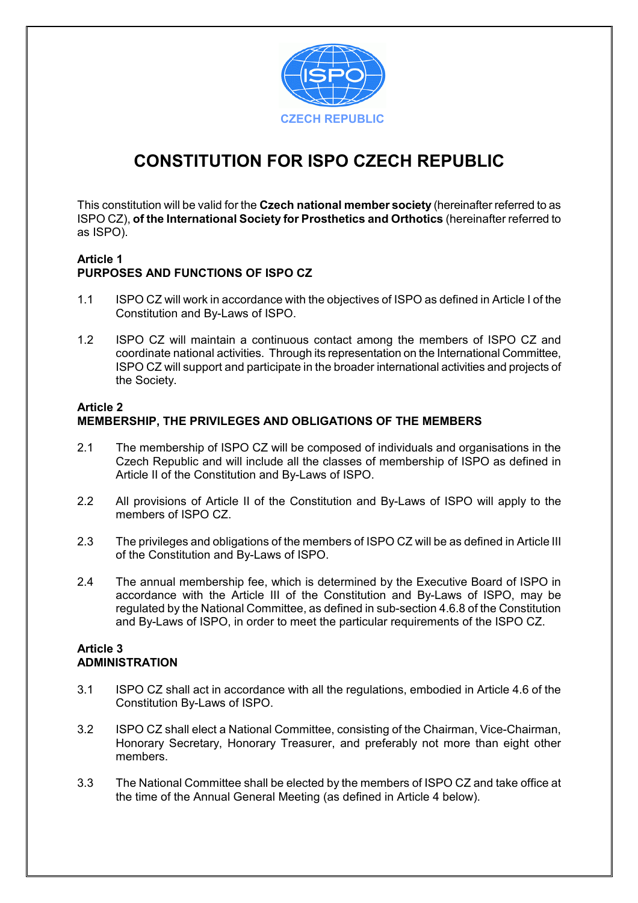

# **CONSTITUTION FOR ISPO CZECH REPUBLIC**

This constitution will be valid for the **Czech national member society** (hereinafter referred to as ISPO CZ), **of the International Society for Prosthetics and Orthotics** (hereinafter referred to as ISPO).

## **Article 1 PURPOSES AND FUNCTIONS OF ISPO CZ**

- 1.1 ISPO CZ will work in accordance with the objectives of ISPO as defined in Article I of the Constitution and By-Laws of ISPO.
- 1.2 ISPO CZ will maintain a continuous contact among the members of ISPO CZ and coordinate national activities. Through its representation on the International Committee, ISPO CZ will support and participate in the broader international activities and projects of the Society.

## **Article 2 MEMBERSHIP, THE PRIVILEGES AND OBLIGATIONS OF THE MEMBERS**

- 2.1 The membership of ISPO CZ will be composed of individuals and organisations in the Czech Republic and will include all the classes of membership of ISPO as defined in Article II of the Constitution and By-Laws of ISPO.
- 2.2 All provisions of Article II of the Constitution and By-Laws of ISPO will apply to the members of ISPO CZ.
- 2.3 The privileges and obligations of the members of ISPO CZ will be as defined in Article III of the Constitution and By-Laws of ISPO.
- 2.4 The annual membership fee, which is determined by the Executive Board of ISPO in accordance with the Article III of the Constitution and By-Laws of ISPO, may be regulated by the National Committee, as defined in sub-section 4.6.8 of the Constitution and By-Laws of ISPO, in order to meet the particular requirements of the ISPO CZ.

# **Article 3 ADMINISTRATION**

- 3.1 ISPO CZ shall act in accordance with all the regulations, embodied in Article 4.6 of the Constitution By-Laws of ISPO.
- 3.2 ISPO CZ shall elect a National Committee, consisting of the Chairman, Vice-Chairman, Honorary Secretary, Honorary Treasurer, and preferably not more than eight other members.
- 3.3 The National Committee shall be elected by the members of ISPO CZ and take office at the time of the Annual General Meeting (as defined in Article 4 below).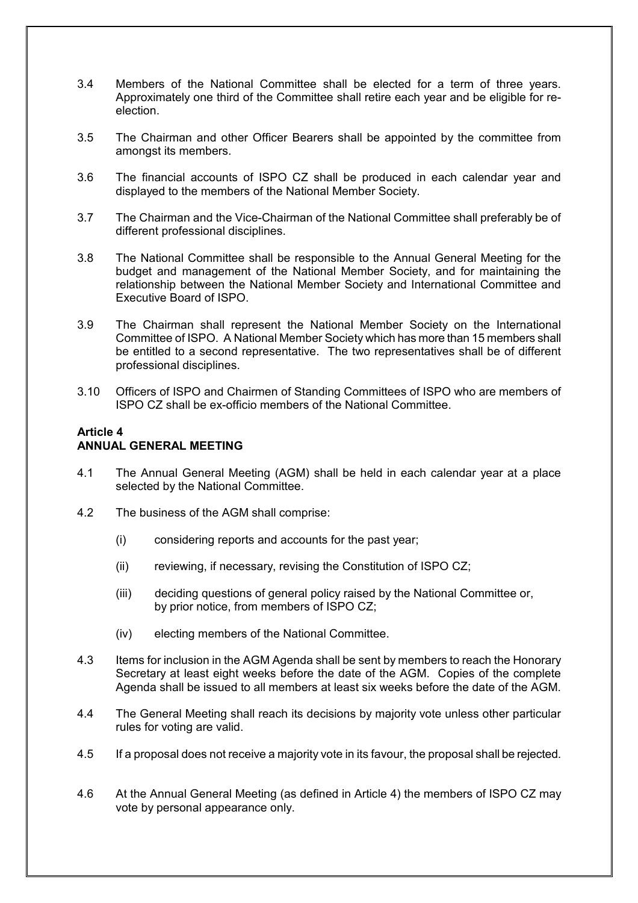- 3.4 Members of the National Committee shall be elected for a term of three years. Approximately one third of the Committee shall retire each year and be eligible for reelection.
- 3.5 The Chairman and other Officer Bearers shall be appointed by the committee from amongst its members.
- 3.6 The financial accounts of ISPO CZ shall be produced in each calendar year and displayed to the members of the National Member Society.
- 3.7 The Chairman and the Vice-Chairman of the National Committee shall preferably be of different professional disciplines.
- 3.8 The National Committee shall be responsible to the Annual General Meeting for the budget and management of the National Member Society, and for maintaining the relationship between the National Member Society and International Committee and Executive Board of ISPO.
- 3.9 The Chairman shall represent the National Member Society on the International Committee of ISPO. A National Member Society which has more than 15 members shall be entitled to a second representative. The two representatives shall be of different professional disciplines.
- 3.10 Officers of ISPO and Chairmen of Standing Committees of ISPO who are members of ISPO CZ shall be ex-officio members of the National Committee.

## **Article 4 ANNUAL GENERAL MEETING**

- 4.1 The Annual General Meeting (AGM) shall be held in each calendar year at a place selected by the National Committee.
- 4.2 The business of the AGM shall comprise:
	- (i) considering reports and accounts for the past year;
	- (ii) reviewing, if necessary, revising the Constitution of ISPO CZ;
	- (iii) deciding questions of general policy raised by the National Committee or, by prior notice, from members of ISPO CZ;
	- (iv) electing members of the National Committee.
- 4.3 Items for inclusion in the AGM Agenda shall be sent by members to reach the Honorary Secretary at least eight weeks before the date of the AGM. Copies of the complete Agenda shall be issued to all members at least six weeks before the date of the AGM.
- 4.4 The General Meeting shall reach its decisions by majority vote unless other particular rules for voting are valid.
- 4.5 If a proposal does not receive a majority vote in its favour, the proposal shall be rejected.
- 4.6 At the Annual General Meeting (as defined in Article 4) the members of ISPO CZ may vote by personal appearance only.